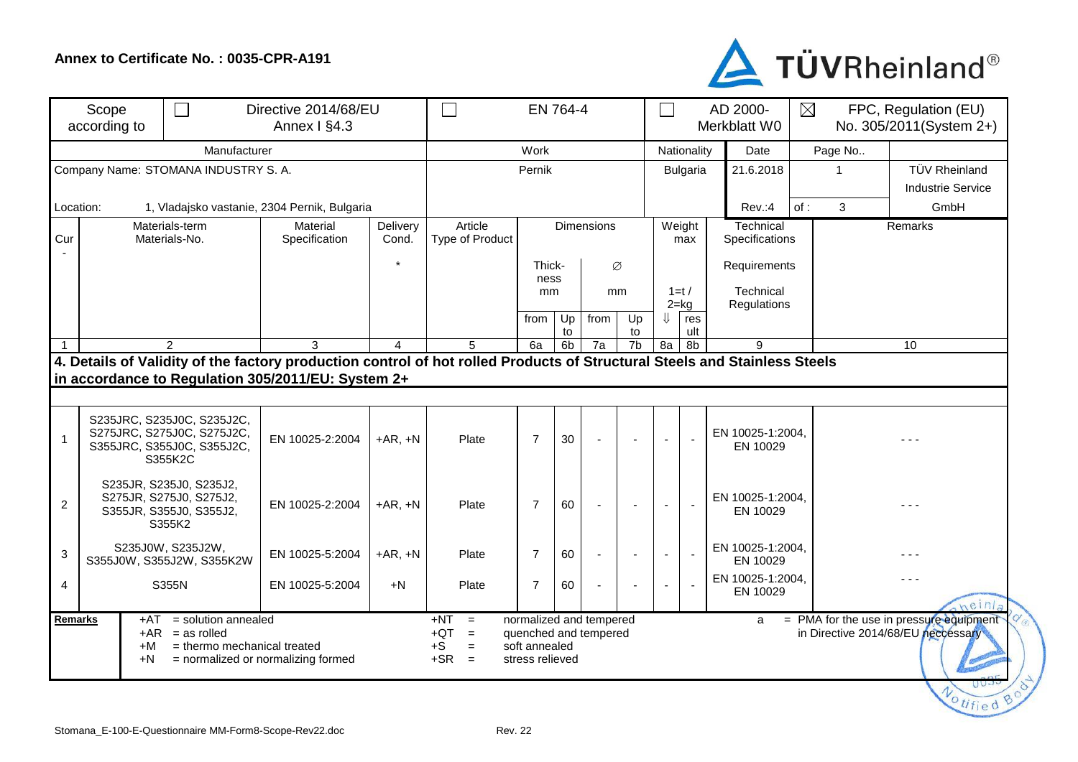## **Annex to Certificate No. : 0035-CPR-A191**



| Scope<br>according to |                                                                                                   | $\Box$<br>Directive 2014/68/EU<br>Annex I §4.3                      |                                                                                                                                                                                 |                   | EN 764-4                                                    |                                  |                      |                                                  |          |                |                                  | AD 2000-<br>Merkblatt W0     | $\boxtimes$<br>FPC, Regulation (EU)<br>No. 305/2011(System 2+) |                                                                                      |
|-----------------------|---------------------------------------------------------------------------------------------------|---------------------------------------------------------------------|---------------------------------------------------------------------------------------------------------------------------------------------------------------------------------|-------------------|-------------------------------------------------------------|----------------------------------|----------------------|--------------------------------------------------|----------|----------------|----------------------------------|------------------------------|----------------------------------------------------------------|--------------------------------------------------------------------------------------|
|                       |                                                                                                   | Manufacturer                                                        | Work                                                                                                                                                                            |                   |                                                             |                                  |                      | Nationality                                      |          | Date           | Page No                          |                              |                                                                |                                                                                      |
|                       |                                                                                                   | Company Name: STOMANA INDUSTRY S. A.                                | Pernik                                                                                                                                                                          |                   |                                                             |                                  |                      | <b>Bulgaria</b>                                  |          | 21.6.2018      |                                  | TÜV Rheinland                |                                                                |                                                                                      |
| Location:             |                                                                                                   |                                                                     |                                                                                                                                                                                 |                   |                                                             |                                  |                      |                                                  | Rev.:4   | of:<br>3       | <b>Industrie Service</b><br>GmbH |                              |                                                                |                                                                                      |
| Cur                   | 1, Vladajsko vastanie, 2304 Pernik, Bulgaria<br>Material<br>Materials-term<br>Materials-No.       |                                                                     | Specification                                                                                                                                                                   | Delivery<br>Cond. | Article<br>Type of Product                                  | Dimensions                       |                      |                                                  |          | Weight<br>max  |                                  | Technical<br>Specifications  |                                                                | Remarks                                                                              |
|                       |                                                                                                   |                                                                     |                                                                                                                                                                                 |                   | Thick-<br>Ø                                                 |                                  |                      |                                                  |          | Requirements   |                                  |                              |                                                                |                                                                                      |
|                       |                                                                                                   |                                                                     |                                                                                                                                                                                 |                   |                                                             | ness<br>mm<br><sub>mm</sub>      |                      |                                                  | $1=t/$   |                | Technical                        |                              |                                                                |                                                                                      |
|                       |                                                                                                   |                                                                     |                                                                                                                                                                                 |                   |                                                             | from                             | Up                   | from                                             | Up       | IJ             | $2 = kq$<br>res                  | Regulations                  |                                                                |                                                                                      |
| $\overline{1}$        |                                                                                                   | $\overline{2}$                                                      | 3                                                                                                                                                                               | 4                 | 5                                                           | 6a                               | to<br>6 <sub>b</sub> | 7a                                               | to<br>7b | 8a             | ult<br>8b                        | 9                            |                                                                | 10                                                                                   |
|                       |                                                                                                   |                                                                     | 4. Details of Validity of the factory production control of hot rolled Products of Structural Steels and Stainless Steels<br>in accordance to Regulation 305/2011/EU: System 2+ |                   |                                                             |                                  |                      |                                                  |          |                |                                  |                              |                                                                |                                                                                      |
| 1                     | S235JRC, S235J0C, S235J2C,<br>S275JRC, S275J0C, S275J2C,<br>S355JRC, S355J0C, S355J2C,<br>S355K2C |                                                                     | EN 10025-2:2004                                                                                                                                                                 | $+AR, +N$         | Plate                                                       | $\overline{7}$                   | 30                   |                                                  |          |                |                                  | EN 10025-1:2004,<br>EN 10029 |                                                                |                                                                                      |
| $\overline{2}$        | S235JR, S235J0, S235J2,<br>S275JR, S275J0, S275J2,<br>S355JR, S355J0, S355J2,<br>S355K2           |                                                                     | EN 10025-2:2004                                                                                                                                                                 | $+AR, +N$         | Plate                                                       | $\overline{7}$                   | 60                   |                                                  |          |                |                                  | EN 10025-1:2004,<br>EN 10029 |                                                                |                                                                                      |
| 3                     | S235J0W, S235J2W,<br>S355J0W, S355J2W, S355K2W                                                    |                                                                     | EN 10025-5:2004                                                                                                                                                                 | $+AR, +N$         | Plate                                                       | $\overline{7}$                   | 60                   | $\blacksquare$                                   |          | $\blacksquare$ |                                  | EN 10025-1:2004,<br>EN 10029 |                                                                |                                                                                      |
| $\overline{4}$        | S355N                                                                                             |                                                                     | EN 10025-5:2004                                                                                                                                                                 | $+N$              | Plate                                                       | $\overline{7}$                   | 60                   |                                                  |          |                |                                  | EN 10025-1:2004,<br>EN 10029 |                                                                | neinl                                                                                |
| Remarks               | +AT<br>$+AR$<br>$+M$<br>+N                                                                        | = solution annealed<br>$=$ as rolled<br>= thermo mechanical treated | = normalized or normalizing formed                                                                                                                                              |                   | $+NT$<br>$=$<br>$+QT$<br>$=$<br>$+S$<br>$=$<br>$+SR$<br>$=$ | soft annealed<br>stress relieved |                      | normalized and tempered<br>quenched and tempered |          |                |                                  | a                            |                                                                | = PMA for the use in pressure equipment<br>in Directive 2014/68/EU neccessary<br>UUJ |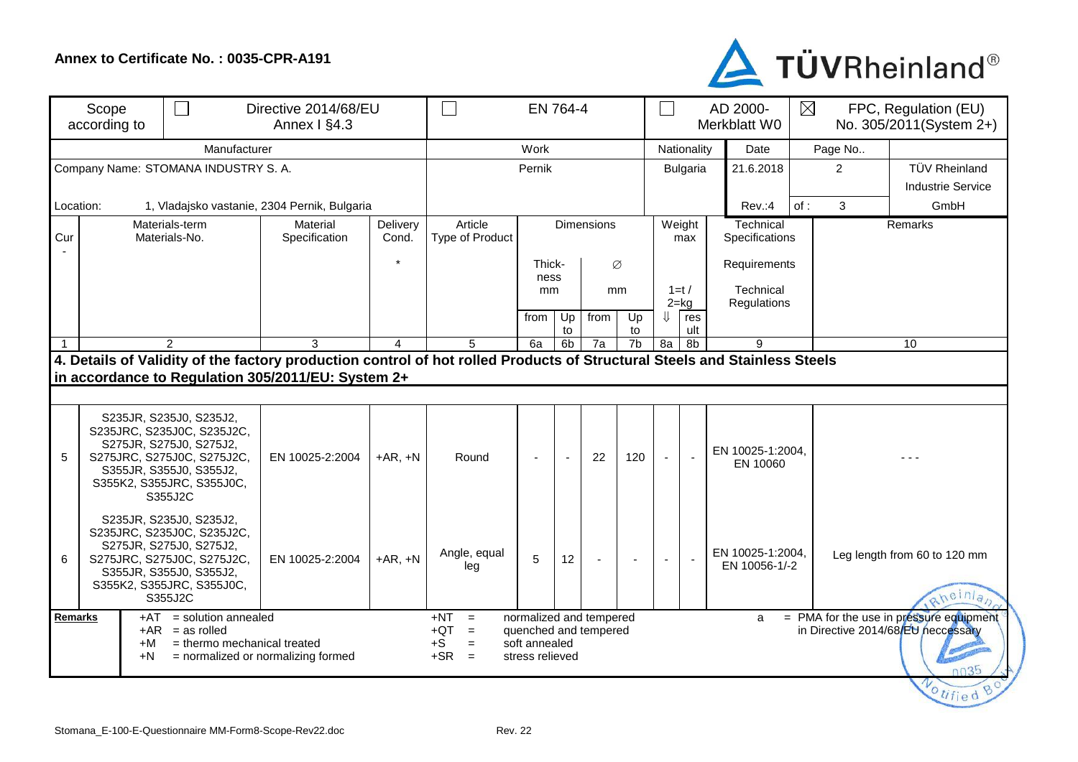## **Annex to Certificate No. : 0035-CPR-A191**



| Scope<br>according to                |                                 | $\Box$<br>Directive 2014/68/EU                                                                                                                                                    | EN 764-4                                                                                                                  |                                                                                      |                            |                   |                | AD 2000-<br>$\Box$<br>Merkblatt W0 |                |                          | $\boxtimes$<br>FPC, Regulation (EU)<br>No. 305/2011(System 2+) |                                   |                                                                                                      |   |                                        |
|--------------------------------------|---------------------------------|-----------------------------------------------------------------------------------------------------------------------------------------------------------------------------------|---------------------------------------------------------------------------------------------------------------------------|--------------------------------------------------------------------------------------|----------------------------|-------------------|----------------|------------------------------------|----------------|--------------------------|----------------------------------------------------------------|-----------------------------------|------------------------------------------------------------------------------------------------------|---|----------------------------------------|
|                                      |                                 | Work                                                                                                                                                                              |                                                                                                                           |                                                                                      |                            |                   | Nationality    |                                    | Date           |                          | Page No                                                        |                                   |                                                                                                      |   |                                        |
| Company Name: STOMANA INDUSTRY S. A. |                                 |                                                                                                                                                                                   |                                                                                                                           |                                                                                      |                            | Pernik            |                |                                    |                | Bulgaria                 |                                                                | 21.6.2018                         | 2                                                                                                    |   | <b>TÜV Rheinland</b>                   |
|                                      |                                 |                                                                                                                                                                                   |                                                                                                                           |                                                                                      |                            |                   |                |                                    |                |                          |                                                                | <b>Industrie Service</b>          |                                                                                                      |   |                                        |
| Location:                            |                                 |                                                                                                                                                                                   | 1, Vladajsko vastanie, 2304 Pernik, Bulgaria                                                                              |                                                                                      |                            |                   |                |                                    |                |                          |                                                                | Rev.:4                            | of:                                                                                                  | 3 | GmbH                                   |
| Cur                                  | Materials-term<br>Materials-No. |                                                                                                                                                                                   | Material<br>Specification                                                                                                 | Delivery<br>Cond.                                                                    | Article<br>Type of Product | <b>Dimensions</b> |                |                                    |                | Weight<br>max            |                                                                | Technical                         | Specifications                                                                                       |   | Remarks                                |
|                                      |                                 |                                                                                                                                                                                   |                                                                                                                           |                                                                                      | Thick-<br>Ø                |                   | Requirements   |                                    |                |                          |                                                                |                                   |                                                                                                      |   |                                        |
|                                      |                                 |                                                                                                                                                                                   |                                                                                                                           |                                                                                      |                            | ness<br>mm        |                |                                    | mm             | Technical<br>$1=t/$      |                                                                |                                   |                                                                                                      |   |                                        |
|                                      |                                 |                                                                                                                                                                                   |                                                                                                                           |                                                                                      |                            |                   |                |                                    |                |                          | $2 = kg$                                                       | Regulations                       |                                                                                                      |   |                                        |
|                                      |                                 |                                                                                                                                                                                   |                                                                                                                           |                                                                                      |                            | from              | Up<br>to       | from                               | Up<br>to       | ⇓                        | res<br>ult                                                     |                                   |                                                                                                      |   |                                        |
|                                      |                                 | $\mathcal{P}$                                                                                                                                                                     | 3                                                                                                                         | $\overline{4}$                                                                       | 5                          | 6a                | 6 <sub>b</sub> | 7a                                 | 7 <sub>b</sub> | 8a                       | 8 <sub>b</sub>                                                 | 9                                 |                                                                                                      |   | 10                                     |
|                                      |                                 |                                                                                                                                                                                   | 4. Details of Validity of the factory production control of hot rolled Products of Structural Steels and Stainless Steels |                                                                                      |                            |                   |                |                                    |                |                          |                                                                |                                   |                                                                                                      |   |                                        |
|                                      |                                 |                                                                                                                                                                                   | in accordance to Regulation 305/2011/EU: System 2+                                                                        |                                                                                      |                            |                   |                |                                    |                |                          |                                                                |                                   |                                                                                                      |   |                                        |
|                                      |                                 |                                                                                                                                                                                   |                                                                                                                           |                                                                                      |                            |                   |                |                                    |                |                          |                                                                |                                   |                                                                                                      |   |                                        |
| 5                                    |                                 | S235JR, S235J0, S235J2,<br>S235JRC, S235J0C, S235J2C,<br>S275JR, S275J0, S275J2,<br>S275JRC, S275J0C, S275J2C,<br>S355JR, S355J0, S355J2,<br>S355K2, S355JRC, S355J0C,<br>S355J2C | EN 10025-2:2004                                                                                                           | $+AR, +N$                                                                            | Round                      |                   | $\sim$         | 22                                 | 120            |                          | $\sim$                                                         | EN 10025-1:2004,<br>EN 10060      |                                                                                                      |   |                                        |
| 6                                    |                                 | S235JR, S235J0, S235J2,<br>S235JRC, S235J0C, S235J2C,<br>S275JR, S275J0, S275J2,<br>S275JRC, S275J0C, S275J2C,<br>S355JR, S355J0, S355J2,<br>S355K2, S355JRC, S355J0C,<br>S355J2C | EN 10025-2:2004                                                                                                           | $+AR, +N$                                                                            | Angle, equal<br>leg        | 5                 | 12             |                                    |                | $\overline{\phantom{a}}$ |                                                                | EN 10025-1:2004,<br>EN 10056-1/-2 |                                                                                                      |   | Leg length from 60 to 120 mm<br>heinla |
| <b>Remarks</b>                       | +AT<br>+M<br>+N                 | $=$ solution annealed<br>$+AR$ = as rolled<br>= thermo mechanical treated<br>= normalized or normalizing formed                                                                   | $+NT$<br>$=$<br>$+QT$<br>$=$<br>$+S$<br>$=$<br>$+SR =$                                                                    | normalized and tempered<br>quenched and tempered<br>soft annealed<br>stress relieved |                            |                   |                |                                    |                | a                        |                                                                |                                   | = PMA for the use in pressure equipment<br>in Directive 2014/68/EU neccessary<br>0035<br>Votified Bo |   |                                        |